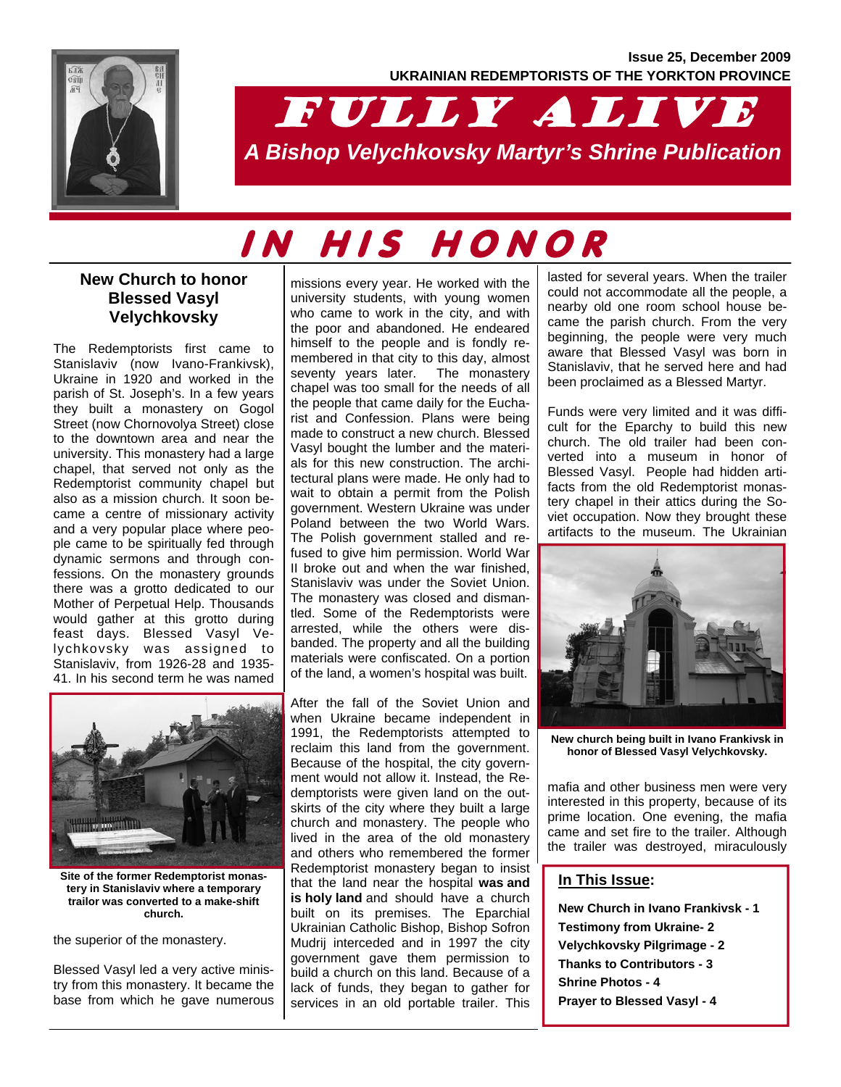

## FULLY ALIVE *A Bishop Velychkovsky Martyr's Shrine Publication*

# IN HIS HONOR

#### **New Church to honor Blessed Vasyl Velychkovsky**

The Redemptorists first came to Stanislaviv (now Ivano-Frankivsk), Ukraine in 1920 and worked in the parish of St. Joseph's. In a few years they built a monastery on Gogol Street (now Chornovolya Street) close to the downtown area and near the university. This monastery had a large chapel, that served not only as the Redemptorist community chapel but also as a mission church. It soon became a centre of missionary activity and a very popular place where people came to be spiritually fed through dynamic sermons and through confessions. On the monastery grounds there was a grotto dedicated to our Mother of Perpetual Help. Thousands would gather at this grotto during feast days. Blessed Vasyl Velychkovsky was assigned to Stanislaviv, from 1926-28 and 1935- 41. In his second term he was named



**Site of the former Redemptorist monastery in Stanislaviv where a temporary trailor was converted to a make-shift church.** 

the superior of the monastery.

Blessed Vasyl led a very active ministry from this monastery. It became the base from which he gave numerous

missions every year. He worked with the university students, with young women who came to work in the city, and with the poor and abandoned. He endeared himself to the people and is fondly remembered in that city to this day, almost seventy years later. The monastery chapel was too small for the needs of all the people that came daily for the Eucharist and Confession. Plans were being made to construct a new church. Blessed Vasyl bought the lumber and the materials for this new construction. The architectural plans were made. He only had to wait to obtain a permit from the Polish government. Western Ukraine was under Poland between the two World Wars. The Polish government stalled and refused to give him permission. World War II broke out and when the war finished, Stanislaviv was under the Soviet Union. The monastery was closed and dismantled. Some of the Redemptorists were arrested, while the others were disbanded. The property and all the building materials were confiscated. On a portion of the land, a women's hospital was built.

After the fall of the Soviet Union and when Ukraine became independent in 1991, the Redemptorists attempted to reclaim this land from the government. Because of the hospital, the city government would not allow it. Instead, the Redemptorists were given land on the outskirts of the city where they built a large church and monastery. The people who lived in the area of the old monastery and others who remembered the former Redemptorist monastery began to insist that the land near the hospital **was and is holy land** and should have a church built on its premises. The Eparchial Ukrainian Catholic Bishop, Bishop Sofron Mudrij interceded and in 1997 the city government gave them permission to build a church on this land. Because of a lack of funds, they began to gather for services in an old portable trailer. This

lasted for several years. When the trailer could not accommodate all the people, a nearby old one room school house became the parish church. From the very beginning, the people were very much aware that Blessed Vasyl was born in Stanislaviv, that he served here and had been proclaimed as a Blessed Martyr.

Funds were very limited and it was difficult for the Eparchy to build this new church. The old trailer had been converted into a museum in honor of Blessed Vasyl. People had hidden artifacts from the old Redemptorist monastery chapel in their attics during the Soviet occupation. Now they brought these artifacts to the museum. The Ukrainian



**New church being built in Ivano Frankivsk in honor of Blessed Vasyl Velychkovsky.** 

mafia and other business men were very interested in this property, because of its prime location. One evening, the mafia came and set fire to the trailer. Although the trailer was destroyed, miraculously

#### **In This Issue:**

**New Church in Ivano Frankivsk - 1 Testimony from Ukraine- 2 Velychkovsky Pilgrimage - 2 Thanks to Contributors - 3 Shrine Photos - 4 Prayer to Blessed Vasyl - 4**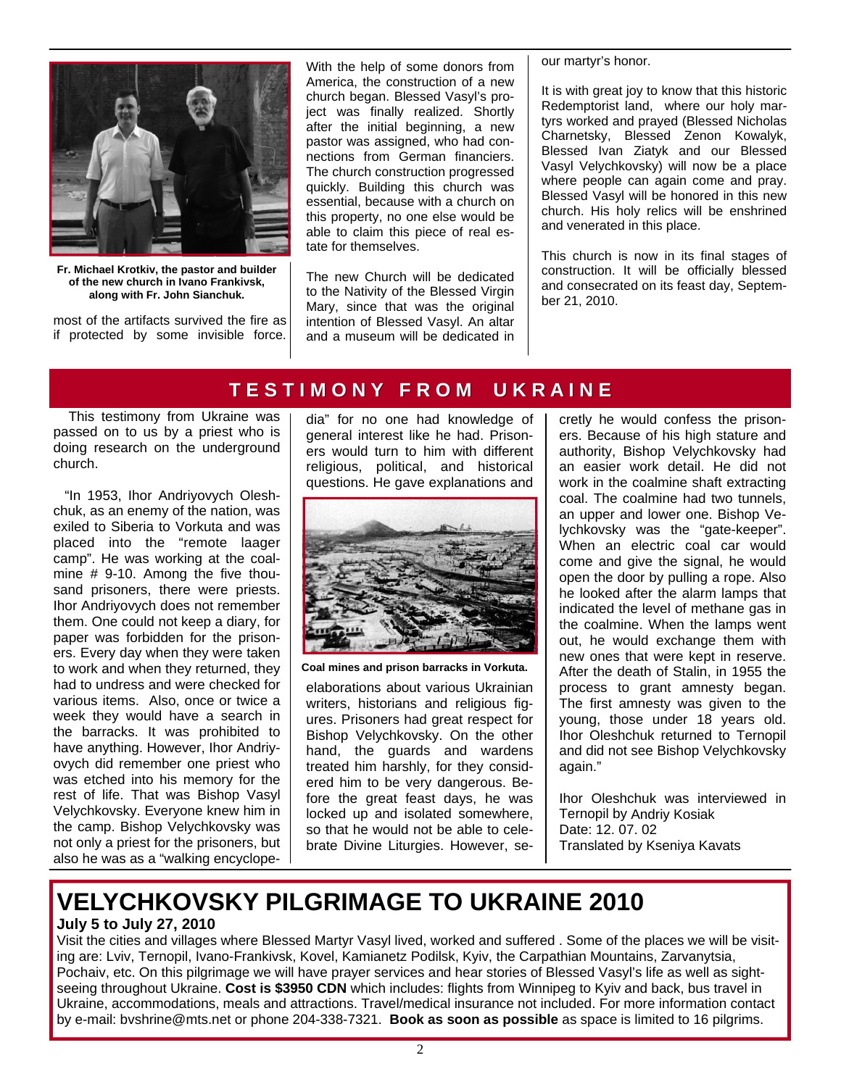

**Fr. Michael Krotkiv, the pastor and builder of the new church in Ivano Frankivsk, along with Fr. John Sianchuk.** 

most of the artifacts survived the fire as if protected by some invisible force. With the help of some donors from America, the construction of a new church began. Blessed Vasyl's project was finally realized. Shortly after the initial beginning, a new pastor was assigned, who had connections from German financiers. The church construction progressed quickly. Building this church was essential, because with a church on this property, no one else would be able to claim this piece of real estate for themselves.

The new Church will be dedicated to the Nativity of the Blessed Virgin Mary, since that was the original intention of Blessed Vasyl. An altar and a museum will be dedicated in our martyr's honor.

It is with great joy to know that this historic Redemptorist land, where our holy martyrs worked and prayed (Blessed Nicholas Charnetsky, Blessed Zenon Kowalyk, Blessed Ivan Ziatyk and our Blessed Vasyl Velychkovsky) will now be a place where people can again come and pray. Blessed Vasyl will be honored in this new church. His holy relics will be enshrined and venerated in this place.

This church is now in its final stages of construction. It will be officially blessed and consecrated on its feast day, September 21, 2010.

#### **T E S T I M O N Y F R O M U K R A I N E T E S T I M O N Y F R O M U K R A I N E**

 This testimony from Ukraine was passed on to us by a priest who is doing research on the underground church.

 "In 1953, Ihor Andriyovych Oleshchuk, as an enemy of the nation, was exiled to Siberia to Vorkuta and was placed into the "remote laager camp". He was working at the coalmine # 9-10. Among the five thousand prisoners, there were priests. Ihor Andriyovych does not remember them. One could not keep a diary, for paper was forbidden for the prisoners. Every day when they were taken to work and when they returned, they had to undress and were checked for various items. Also, once or twice a week they would have a search in the barracks. It was prohibited to have anything. However, Ihor Andriyovych did remember one priest who was etched into his memory for the rest of life. That was Bishop Vasyl Velychkovsky. Everyone knew him in the camp. Bishop Velychkovsky was not only a priest for the prisoners, but also he was as a "walking encyclopedia" for no one had knowledge of general interest like he had. Prisoners would turn to him with different religious, political, and historical questions. He gave explanations and



**Coal mines and prison barracks in Vorkuta.** 

elaborations about various Ukrainian writers, historians and religious figures. Prisoners had great respect for Bishop Velychkovsky. On the other hand, the guards and wardens treated him harshly, for they considered him to be very dangerous. Before the great feast days, he was locked up and isolated somewhere, so that he would not be able to celebrate Divine Liturgies. However, secretly he would confess the prisoners. Because of his high stature and authority, Bishop Velychkovsky had an easier work detail. He did not work in the coalmine shaft extracting coal. The coalmine had two tunnels, an upper and lower one. Bishop Velychkovsky was the "gate-keeper". When an electric coal car would come and give the signal, he would open the door by pulling a rope. Also he looked after the alarm lamps that indicated the level of methane gas in the coalmine. When the lamps went out, he would exchange them with new ones that were kept in reserve. After the death of Stalin, in 1955 the process to grant amnesty began. The first amnesty was given to the young, those under 18 years old. Ihor Oleshchuk returned to Ternopil and did not see Bishop Velychkovsky again."

Ihor Oleshchuk was interviewed in Ternopil by Andriy Kosiak Date: 12. 07. 02 Translated by Kseniya Kavats

### **VELYCHKOVSKY PILGRIMAGE TO UKRAINE 2010**

#### **July 5 to July 27, 2010**

Visit the cities and villages where Blessed Martyr Vasyl lived, worked and suffered . Some of the places we will be visiting are: Lviv, Ternopil, Ivano-Frankivsk, Kovel, Kamianetz Podilsk, Kyiv, the Carpathian Mountains, Zarvanytsia, Pochaiv, etc. On this pilgrimage we will have prayer services and hear stories of Blessed Vasyl's life as well as sightseeing throughout Ukraine. **Cost is \$3950 CDN** which includes: flights from Winnipeg to Kyiv and back, bus travel in Ukraine, accommodations, meals and attractions. Travel/medical insurance not included. For more information contact by e-mail: bvshrine@mts.net or phone 204-338-7321. **Book as soon as possible** as space is limited to 16 pilgrims.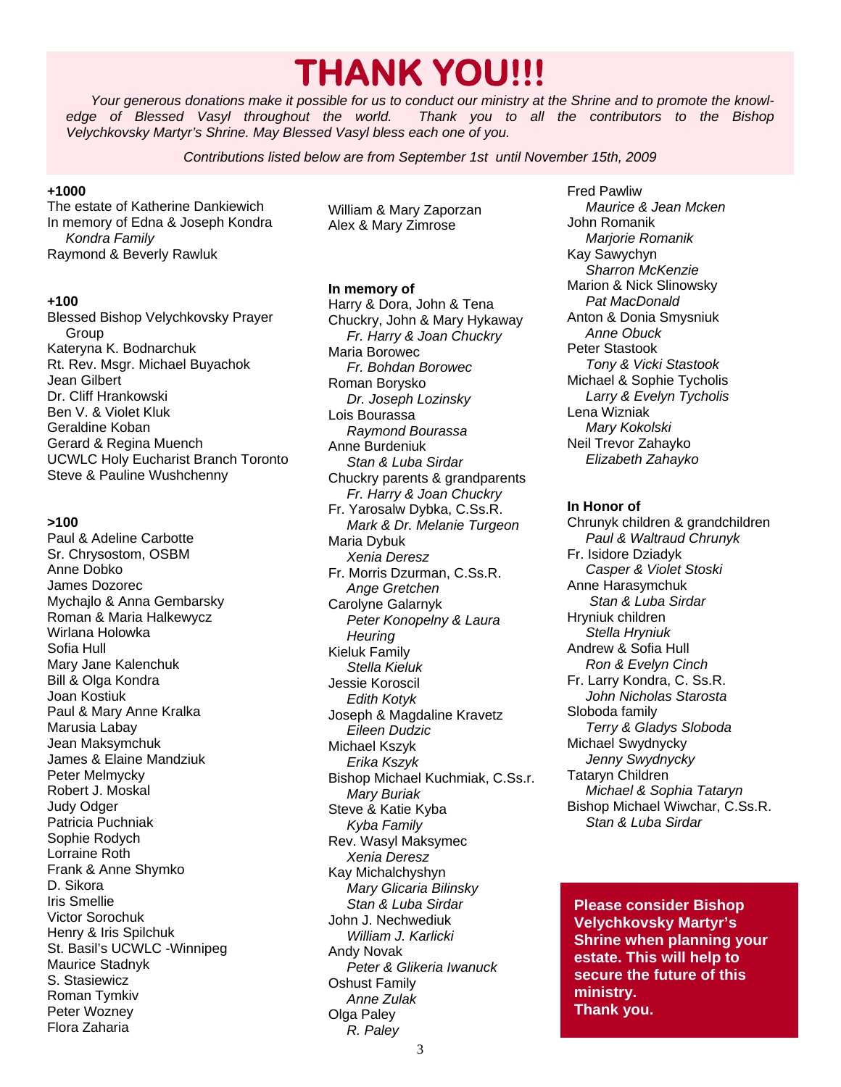## **THANK YOU!!!**

*Your generous donations make it possible for us to conduct our ministry at the Shrine and to promote the knowl-Fhank you to all the contributors to the Bishop Velychkovsky Martyr's Shrine. May Blessed Vasyl bless each one of you.* 

*Contributions listed below are from September 1st until November 15th, 2009* 

#### **+1000**

The estate of Katherine Dankiewich In memory of Edna & Joseph Kondra  *Kondra Family*  Raymond & Beverly Rawluk

#### **+100**

Blessed Bishop Velychkovsky Prayer Group Kateryna K. Bodnarchuk Rt. Rev. Msgr. Michael Buyachok Jean Gilbert Dr. Cliff Hrankowski Ben V. & Violet Kluk Geraldine Koban Gerard & Regina Muench UCWLC Holy Eucharist Branch Toronto Steve & Pauline Wushchenny

#### **>100**

Paul & Adeline Carbotte Sr. Chrysostom, OSBM Anne Dobko James Dozorec Mychajlo & Anna Gembarsky Roman & Maria Halkewycz Wirlana Holowka Sofia Hull Mary Jane Kalenchuk Bill & Olga Kondra Joan Kostiuk Paul & Mary Anne Kralka Marusia Labay Jean Maksymchuk James & Elaine Mandziuk Peter Melmycky Robert J. Moskal Judy Odger Patricia Puchniak Sophie Rodych Lorraine Roth Frank & Anne Shymko D. Sikora Iris Smellie Victor Sorochuk Henry & Iris Spilchuk St. Basil's UCWLC -Winnipeg Maurice Stadnyk S. Stasiewicz Roman Tymkiv Peter Wozney Flora Zaharia

William & Mary Zaporzan Alex & Mary Zimrose

#### **In memory of**

Harry & Dora, John & Tena Chuckry, John & Mary Hykaway *Fr. Harry & Joan Chuckry*  Maria Borowec *Fr. Bohdan Borowec*  Roman Borysko *Dr. Joseph Lozinsky*  Lois Bourassa *Raymond Bourassa*  Anne Burdeniuk *Stan & Luba Sirdar*  Chuckry parents & grandparents *Fr. Harry & Joan Chuckry*  Fr. Yarosalw Dybka, C.Ss.R. *Mark & Dr. Melanie Turgeon*  Maria Dybuk  *Xenia Deresz*  Fr. Morris Dzurman, C.Ss.R.  *Ange Gretchen*  Carolyne Galarnyk *Peter Konopelny & Laura Heuring*  Kieluk Family  *Stella Kieluk*  Jessie Koroscil *Edith Kotyk*  Joseph & Magdaline Kravetz *Eileen Dudzic*  Michael Kszyk *Erika Kszyk*  Bishop Michael Kuchmiak, C.Ss.r. *Mary Buriak*  Steve & Katie Kyba  *Kyba Family*  Rev. Wasyl Maksymec *Xenia Deresz*  Kay Michalchyshyn *Mary Glicaria Bilinsky Stan & Luba Sirdar*  John J. Nechwediuk *William J. Karlicki*  Andy Novak *Peter & Glikeria Iwanuck*  Oshust Family *Anne Zulak*  Olga Paley *R. Paley* 

Fred Pawliw  *Maurice & Jean Mcken*  John Romanik *Marjorie Romanik*  Kay Sawychyn *Sharron McKenzie*  Marion & Nick Slinowsky *Pat MacDonald*  Anton & Donia Smysniuk  *Anne Obuck*  Peter Stastook *Tony & Vicki Stastook*  Michael & Sophie Tycholis  *Larry & Evelyn Tycholis*  Lena Wizniak *Mary Kokolski*  Neil Trevor Zahayko *Elizabeth Zahayko* 

#### **In Honor of**

Chrunyk children & grandchildren *Paul & Waltraud Chrunyk*  Fr. Isidore Dziadyk *Casper & Violet Stoski*  Anne Harasymchuk  *Stan & Luba Sirdar*  Hryniuk children *Stella Hryniuk*  Andrew & Sofia Hull  *Ron & Evelyn Cinch*  Fr. Larry Kondra, C. Ss.R. *John Nicholas Starosta*  Sloboda family  *Terry & Gladys Sloboda*  Michael Swydnycky *Jenny Swydnycky*  Tataryn Children *Michael & Sophia Tataryn* Bishop Michael Wiwchar, C.Ss.R. *Stan & Luba Sirdar* 

**Please consider Bishop Velychkovsky Martyr's Shrine when planning your estate. This will help to secure the future of this ministry. Thank you.**